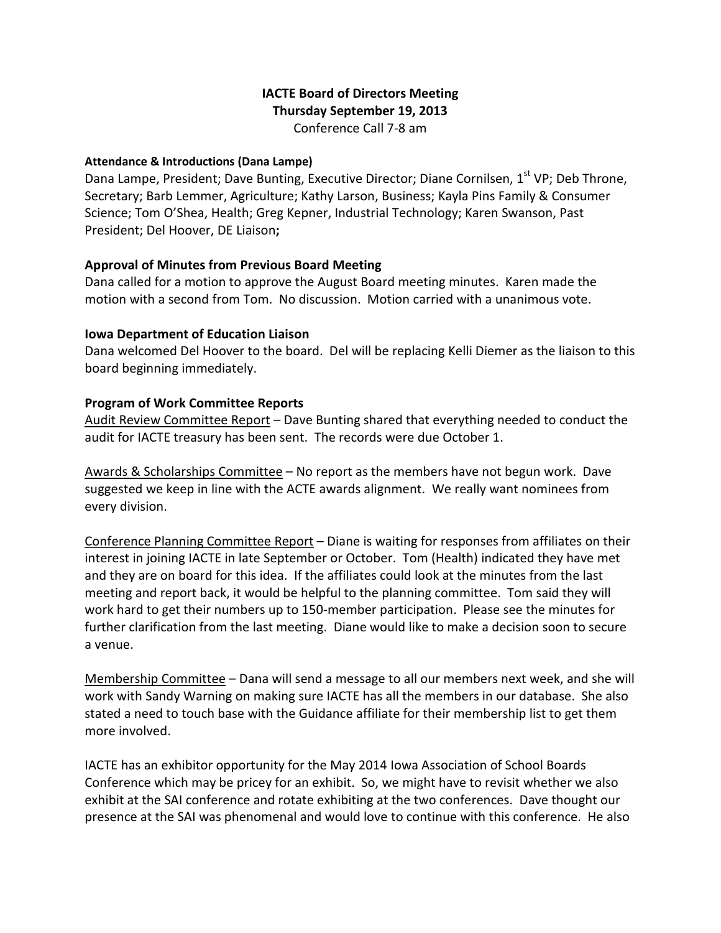# IACTE Board of Directors Meeting Thursday September 19, 2013 Conference Call 7-8 am

#### Attendance & Introductions (Dana Lampe)

Dana Lampe, President; Dave Bunting, Executive Director; Diane Cornilsen, 1<sup>st</sup> VP; Deb Throne, Secretary; Barb Lemmer, Agriculture; Kathy Larson, Business; Kayla Pins Family & Consumer Science; Tom O'Shea, Health; Greg Kepner, Industrial Technology; Karen Swanson, Past President; Del Hoover, DE Liaison;

### Approval of Minutes from Previous Board Meeting

Dana called for a motion to approve the August Board meeting minutes. Karen made the motion with a second from Tom. No discussion. Motion carried with a unanimous vote.

### Iowa Department of Education Liaison

Dana welcomed Del Hoover to the board. Del will be replacing Kelli Diemer as the liaison to this board beginning immediately.

### Program of Work Committee Reports

Audit Review Committee Report – Dave Bunting shared that everything needed to conduct the audit for IACTE treasury has been sent. The records were due October 1.

Awards & Scholarships Committee - No report as the members have not begun work. Dave suggested we keep in line with the ACTE awards alignment. We really want nominees from every division.

Conference Planning Committee Report – Diane is waiting for responses from affiliates on their interest in joining IACTE in late September or October. Tom (Health) indicated they have met and they are on board for this idea. If the affiliates could look at the minutes from the last meeting and report back, it would be helpful to the planning committee. Tom said they will work hard to get their numbers up to 150-member participation. Please see the minutes for further clarification from the last meeting. Diane would like to make a decision soon to secure a venue.

Membership Committee – Dana will send a message to all our members next week, and she will work with Sandy Warning on making sure IACTE has all the members in our database. She also stated a need to touch base with the Guidance affiliate for their membership list to get them more involved.

IACTE has an exhibitor opportunity for the May 2014 Iowa Association of School Boards Conference which may be pricey for an exhibit. So, we might have to revisit whether we also exhibit at the SAI conference and rotate exhibiting at the two conferences. Dave thought our presence at the SAI was phenomenal and would love to continue with this conference. He also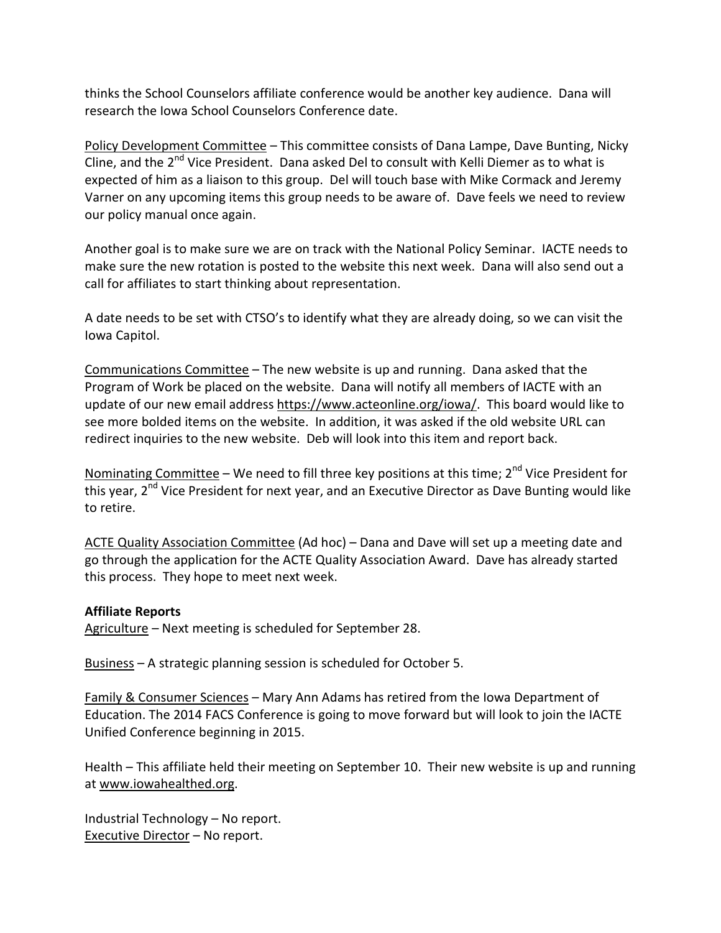thinks the School Counselors affiliate conference would be another key audience. Dana will research the Iowa School Counselors Conference date.

Policy Development Committee – This committee consists of Dana Lampe, Dave Bunting, Nicky Cline, and the  $2^{nd}$  Vice President. Dana asked Del to consult with Kelli Diemer as to what is expected of him as a liaison to this group. Del will touch base with Mike Cormack and Jeremy Varner on any upcoming items this group needs to be aware of. Dave feels we need to review our policy manual once again.

Another goal is to make sure we are on track with the National Policy Seminar. IACTE needs to make sure the new rotation is posted to the website this next week. Dana will also send out a call for affiliates to start thinking about representation.

A date needs to be set with CTSO's to identify what they are already doing, so we can visit the Iowa Capitol.

Communications Committee – The new website is up and running. Dana asked that the Program of Work be placed on the website. Dana will notify all members of IACTE with an update of our new email address https://www.acteonline.org/iowa/. This board would like to see more bolded items on the website. In addition, it was asked if the old website URL can redirect inquiries to the new website. Deb will look into this item and report back.

Nominating Committee – We need to fill three key positions at this time;  $2^{nd}$  Vice President for this year, 2<sup>nd</sup> Vice President for next year, and an Executive Director as Dave Bunting would like to retire.

ACTE Quality Association Committee (Ad hoc) – Dana and Dave will set up a meeting date and go through the application for the ACTE Quality Association Award. Dave has already started this process. They hope to meet next week.

### Affiliate Reports

Agriculture – Next meeting is scheduled for September 28.

Business – A strategic planning session is scheduled for October 5.

Family & Consumer Sciences – Mary Ann Adams has retired from the Iowa Department of Education. The 2014 FACS Conference is going to move forward but will look to join the IACTE Unified Conference beginning in 2015.

Health – This affiliate held their meeting on September 10. Their new website is up and running at www.iowahealthed.org.

Industrial Technology – No report. Executive Director – No report.